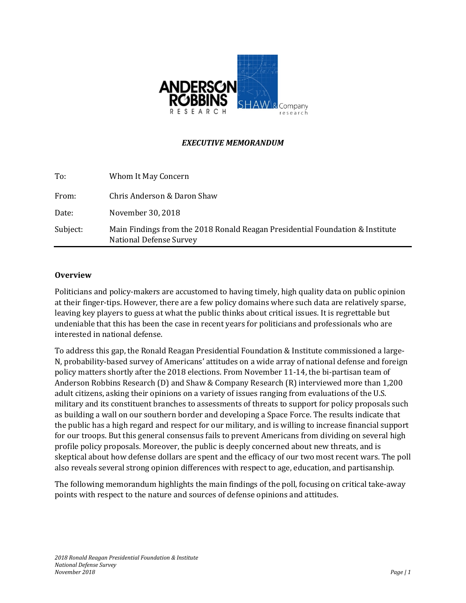

## *EXECUTIVE MEMORANDUM*

| To:      | Whom It May Concern                                                                                      |
|----------|----------------------------------------------------------------------------------------------------------|
| From:    | Chris Anderson & Daron Shaw                                                                              |
| Date:    | November 30, 2018                                                                                        |
| Subject: | Main Findings from the 2018 Ronald Reagan Presidential Foundation & Institute<br>National Defense Survey |

#### **Overview**

Politicians and policy-makers are accustomed to having timely, high quality data on public opinion at their finger-tips. However, there are a few policy domains where such data are relatively sparse, leaving key players to guess at what the public thinks about critical issues. It is regrettable but undeniable that this has been the case in recent years for politicians and professionals who are interested in national defense.

To address this gap, the Ronald Reagan Presidential Foundation & Institute commissioned a large-N, probability-based survey of Americans' attitudes on a wide array of national defense and foreign policy matters shortly after the 2018 elections. From November 11-14, the bi-partisan team of Anderson Robbins Research (D) and Shaw & Company Research (R) interviewed more than 1,200 adult citizens, asking their opinions on a variety of issues ranging from evaluations of the U.S. military and its constituent branches to assessments of threats to support for policy proposals such as building a wall on our southern border and developing a Space Force. The results indicate that the public has a high regard and respect for our military, and is willing to increase financial support for our troops. But this general consensus fails to prevent Americans from dividing on several high profile policy proposals. Moreover, the public is deeply concerned about new threats, and is skeptical about how defense dollars are spent and the efficacy of our two most recent wars. The poll also reveals several strong opinion differences with respect to age, education, and partisanship.

The following memorandum highlights the main findings of the poll, focusing on critical take-away points with respect to the nature and sources of defense opinions and attitudes.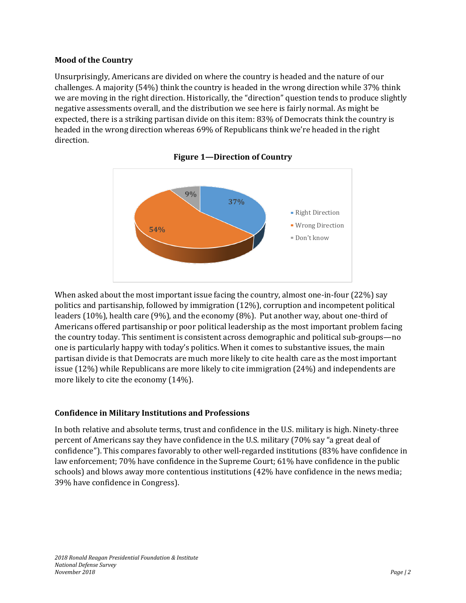## **Mood of the Country**

Unsurprisingly, Americans are divided on where the country is headed and the nature of our challenges. A majority (54%) think the country is headed in the wrong direction while 37% think we are moving in the right direction. Historically, the "direction" question tends to produce slightly negative assessments overall, and the distribution we see here is fairly normal. As might be expected, there is a striking partisan divide on this item: 83% of Democrats think the country is headed in the wrong direction whereas 69% of Republicans think we're headed in the right direction.





When asked about the most important issue facing the country, almost one-in-four (22%) say politics and partisanship, followed by immigration (12%), corruption and incompetent political leaders (10%), health care (9%), and the economy (8%). Put another way, about one-third of Americans offered partisanship or poor political leadership as the most important problem facing the country today. This sentiment is consistent across demographic and political sub-groups—no one is particularly happy with today's politics. When it comes to substantive issues, the main partisan divide is that Democrats are much more likely to cite health care as the most important issue (12%) while Republicans are more likely to cite immigration (24%) and independents are more likely to cite the economy (14%).

# **Confidence in Military Institutions and Professions**

In both relative and absolute terms, trust and confidence in the U.S. military is high. Ninety-three percent of Americans say they have confidence in the U.S. military (70% say "a great deal of confidence"). This compares favorably to other well-regarded institutions (83% have confidence in law enforcement; 70% have confidence in the Supreme Court; 61% have confidence in the public schools) and blows away more contentious institutions (42% have confidence in the news media; 39% have confidence in Congress).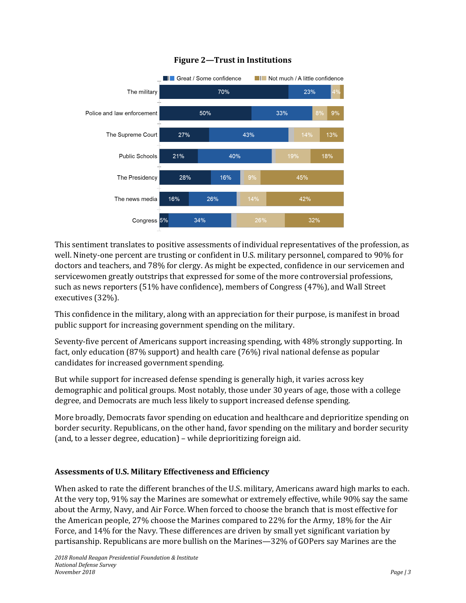

# **Figure 2—Trust in Institutions**

This sentiment translates to positive assessments of individual representatives of the profession, as well. Ninety-one percent are trusting or confident in U.S. military personnel, compared to 90% for doctors and teachers, and 78% for clergy. As might be expected, confidence in our servicemen and servicewomen greatly outstrips that expressed for some of the more controversial professions, such as news reporters (51% have confidence), members of Congress (47%), and Wall Street executives (32%).

This confidence in the military, along with an appreciation for their purpose, is manifest in broad public support for increasing government spending on the military.

Seventy-five percent of Americans support increasing spending, with 48% strongly supporting. In fact, only education (87% support) and health care (76%) rival national defense as popular candidates for increased government spending.

But while support for increased defense spending is generally high, it varies across key demographic and political groups. Most notably, those under 30 years of age, those with a college degree, and Democrats are much less likely to support increased defense spending.

More broadly, Democrats favor spending on education and healthcare and deprioritize spending on border security. Republicans, on the other hand, favor spending on the military and border security (and, to a lesser degree, education) – while deprioritizing foreign aid.

# **Assessments of U.S. Military Effectiveness and Efficiency**

When asked to rate the different branches of the U.S. military, Americans award high marks to each. At the very top, 91% say the Marines are somewhat or extremely effective, while 90% say the same about the Army, Navy, and Air Force. When forced to choose the branch that is most effective for the American people, 27% choose the Marines compared to 22% for the Army, 18% for the Air Force, and 14% for the Navy. These differences are driven by small yet significant variation by partisanship. Republicans are more bullish on the Marines—32% of GOPers say Marines are the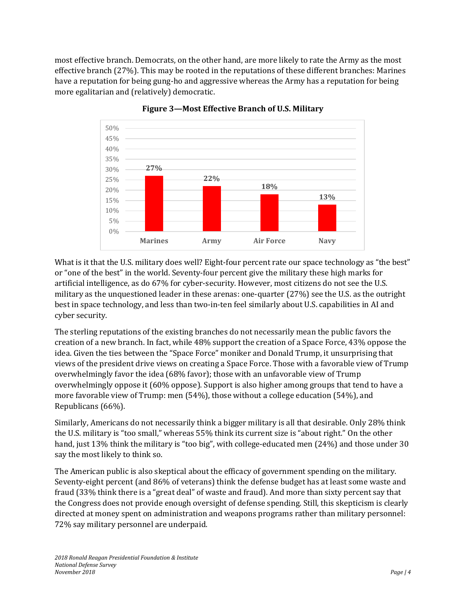most effective branch. Democrats, on the other hand, are more likely to rate the Army as the most effective branch (27%). This may be rooted in the reputations of these different branches: Marines have a reputation for being gung-ho and aggressive whereas the Army has a reputation for being more egalitarian and (relatively) democratic.



**Figure 3—Most Effective Branch of U.S. Military**

What is it that the U.S. military does well? Eight-four percent rate our space technology as "the best" or "one of the best" in the world. Seventy-four percent give the military these high marks for artificial intelligence, as do 67% for cyber-security. However, most citizens do not see the U.S. military as the unquestioned leader in these arenas: one-quarter (27%) see the U.S. as the outright best in space technology, and less than two-in-ten feel similarly about U.S. capabilities in AI and cyber security.

The sterling reputations of the existing branches do not necessarily mean the public favors the creation of a new branch. In fact, while 48% support the creation of a Space Force, 43% oppose the idea. Given the ties between the "Space Force" moniker and Donald Trump, it unsurprising that views of the president drive views on creating a Space Force. Those with a favorable view of Trump overwhelmingly favor the idea (68% favor); those with an unfavorable view of Trump overwhelmingly oppose it (60% oppose). Support is also higher among groups that tend to have a more favorable view of Trump: men (54%), those without a college education (54%), and Republicans (66%).

Similarly, Americans do not necessarily think a bigger military is all that desirable. Only 28% think the U.S. military is "too small," whereas 55% think its current size is "about right." On the other hand, just 13% think the military is "too big", with college-educated men (24%) and those under 30 say the most likely to think so.

The American public is also skeptical about the efficacy of government spending on the military. Seventy-eight percent (and 86% of veterans) think the defense budget has at least some waste and fraud (33% think there is a "great deal" of waste and fraud). And more than sixty percent say that the Congress does not provide enough oversight of defense spending. Still, this skepticism is clearly directed at money spent on administration and weapons programs rather than military personnel: 72% say military personnel are underpaid.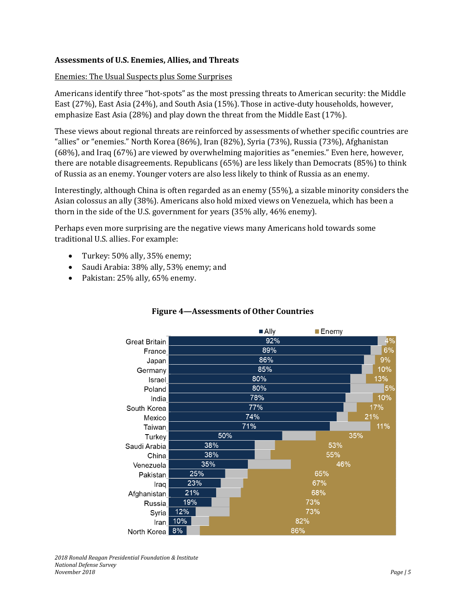### **Assessments of U.S. Enemies, Allies, and Threats**

#### Enemies: The Usual Suspects plus Some Surprises

Americans identify three "hot-spots" as the most pressing threats to American security: the Middle East (27%), East Asia (24%), and South Asia (15%). Those in active-duty households, however, emphasize East Asia (28%) and play down the threat from the Middle East (17%).

These views about regional threats are reinforced by assessments of whether specific countries are "allies" or "enemies." North Korea (86%), Iran (82%), Syria (73%), Russia (73%), Afghanistan (68%), and Iraq (67%) are viewed by overwhelming majorities as "enemies." Even here, however, there are notable disagreements. Republicans (65%) are less likely than Democrats (85%) to think of Russia as an enemy. Younger voters are also less likely to think of Russia as an enemy.

Interestingly, although China is often regarded as an enemy (55%), a sizable minority considers the Asian colossus an ally (38%). Americans also hold mixed views on Venezuela, which has been a thorn in the side of the U.S. government for years (35% ally, 46% enemy).

Perhaps even more surprising are the negative views many Americans hold towards some traditional U.S. allies. For example:

- Turkey: 50% ally, 35% enemy;
- Saudi Arabia: 38% ally, 53% enemy; and
- Pakistan: 25% ally, 65% enemy.



# **Figure 4—Assessments of Other Countries**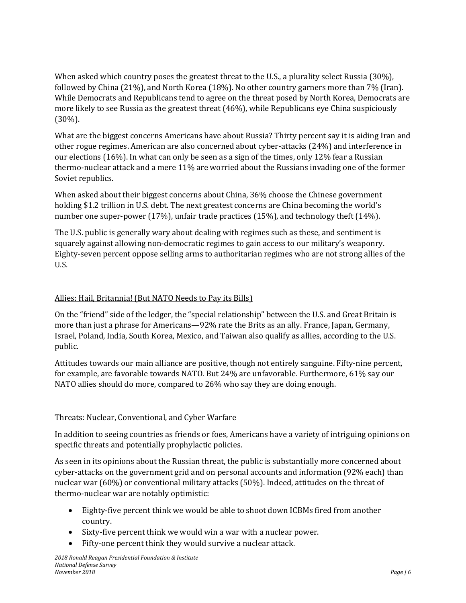When asked which country poses the greatest threat to the U.S., a plurality select Russia (30%), followed by China (21%), and North Korea (18%). No other country garners more than 7% (Iran). While Democrats and Republicans tend to agree on the threat posed by North Korea, Democrats are more likely to see Russia as the greatest threat (46%), while Republicans eye China suspiciously (30%).

What are the biggest concerns Americans have about Russia? Thirty percent say it is aiding Iran and other rogue regimes. American are also concerned about cyber-attacks (24%) and interference in our elections (16%). In what can only be seen as a sign of the times, only 12% fear a Russian thermo-nuclear attack and a mere 11% are worried about the Russians invading one of the former Soviet republics.

When asked about their biggest concerns about China, 36% choose the Chinese government holding \$1.2 trillion in U.S. debt. The next greatest concerns are China becoming the world's number one super-power (17%), unfair trade practices (15%), and technology theft (14%).

The U.S. public is generally wary about dealing with regimes such as these, and sentiment is squarely against allowing non-democratic regimes to gain access to our military's weaponry. Eighty-seven percent oppose selling arms to authoritarian regimes who are not strong allies of the U.S.

# Allies: Hail, Britannia! (But NATO Needs to Pay its Bills)

On the "friend" side of the ledger, the "special relationship" between the U.S. and Great Britain is more than just a phrase for Americans—92% rate the Brits as an ally. France, Japan, Germany, Israel, Poland, India, South Korea, Mexico, and Taiwan also qualify as allies, according to the U.S. public.

Attitudes towards our main alliance are positive, though not entirely sanguine. Fifty-nine percent, for example, are favorable towards NATO. But 24% are unfavorable. Furthermore, 61% say our NATO allies should do more, compared to 26% who say they are doing enough.

## Threats: Nuclear, Conventional, and Cyber Warfare

In addition to seeing countries as friends or foes, Americans have a variety of intriguing opinions on specific threats and potentially prophylactic policies.

As seen in its opinions about the Russian threat, the public is substantially more concerned about cyber-attacks on the government grid and on personal accounts and information (92% each) than nuclear war (60%) or conventional military attacks (50%). Indeed, attitudes on the threat of thermo-nuclear war are notably optimistic:

- Eighty-five percent think we would be able to shoot down ICBMs fired from another country.
- Sixty-five percent think we would win a war with a nuclear power.
- Fifty-one percent think they would survive a nuclear attack.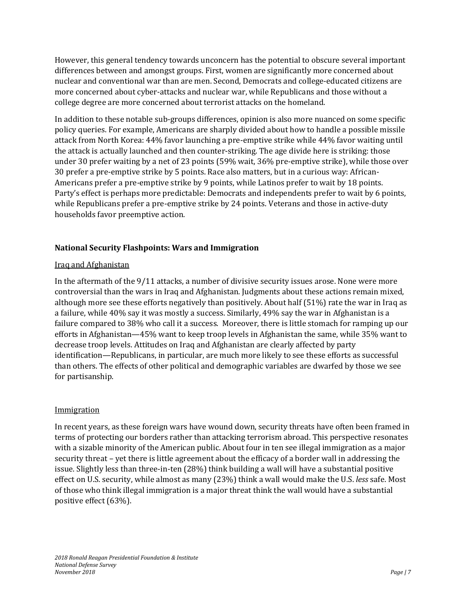However, this general tendency towards unconcern has the potential to obscure several important differences between and amongst groups. First, women are significantly more concerned about nuclear and conventional war than are men. Second, Democrats and college-educated citizens are more concerned about cyber-attacks and nuclear war, while Republicans and those without a college degree are more concerned about terrorist attacks on the homeland.

In addition to these notable sub-groups differences, opinion is also more nuanced on some specific policy queries. For example, Americans are sharply divided about how to handle a possible missile attack from North Korea: 44% favor launching a pre-emptive strike while 44% favor waiting until the attack is actually launched and then counter-striking. The age divide here is striking: those under 30 prefer waiting by a net of 23 points (59% wait, 36% pre-emptive strike), while those over 30 prefer a pre-emptive strike by 5 points. Race also matters, but in a curious way: African-Americans prefer a pre-emptive strike by 9 points, while Latinos prefer to wait by 18 points. Party's effect is perhaps more predictable: Democrats and independents prefer to wait by 6 points, while Republicans prefer a pre-emptive strike by 24 points. Veterans and those in active-duty households favor preemptive action.

# **National Security Flashpoints: Wars and Immigration**

## Iraq and Afghanistan

In the aftermath of the 9/11 attacks, a number of divisive security issues arose. None were more controversial than the wars in Iraq and Afghanistan. Judgments about these actions remain mixed, although more see these efforts negatively than positively. About half (51%) rate the war in Iraq as a failure, while 40% say it was mostly a success. Similarly, 49% say the war in Afghanistan is a failure compared to 38% who call it a success. Moreover, there is little stomach for ramping up our efforts in Afghanistan—45% want to keep troop levels in Afghanistan the same, while 35% want to decrease troop levels. Attitudes on Iraq and Afghanistan are clearly affected by party identification—Republicans, in particular, are much more likely to see these efforts as successful than others. The effects of other political and demographic variables are dwarfed by those we see for partisanship.

# **Immigration**

In recent years, as these foreign wars have wound down, security threats have often been framed in terms of protecting our borders rather than attacking terrorism abroad. This perspective resonates with a sizable minority of the American public. About four in ten see illegal immigration as a major security threat – yet there is little agreement about the efficacy of a border wall in addressing the issue. Slightly less than three-in-ten (28%) think building a wall will have a substantial positive effect on U.S. security, while almost as many (23%) think a wall would make the U.S. *less* safe. Most of those who think illegal immigration is a major threat think the wall would have a substantial positive effect (63%).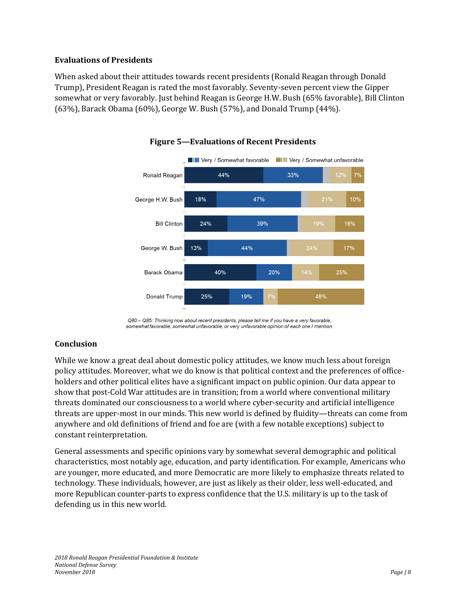#### **Evaluations of Presidents**

When asked about their attitudes towards recent presidents (Ronald Reagan through Donald Trump), President Reagan is rated the most favorably. Seventy-seven percent view the Gipper somewhat or very favorably. Just behind Reagan is George H.W. Bush (65% favorable), Bill Clinton (63%), Barack Obama (60%), George W. Bush (57%), and Donald Trump (44%).



#### **Figure 5—Evaluations of Recent Presidents**

Q80 - Q85: Thinking now about recent presidents, please tell me if you have a very favorable, somewhat favorable, somewhat unfavorable, or very unfavorable opinion of each one I mention.

## **Conclusion**

While we know a great deal about domestic policy attitudes, we know much less about foreign policy attitudes. Moreover, what we do know is that political context and the preferences of officeholders and other political elites have a significant impact on public opinion. Our data appear to show that post-Cold War attitudes are in transition; from a world where conventional military threats dominated our consciousness to a world where cyber-security and artificial intelligence threats are upper-most in our minds. This new world is defined by fluidity—threats can come from anywhere and old definitions of friend and foe are (with a few notable exceptions) subject to constant reinterpretation.

General assessments and specific opinions vary by somewhat several demographic and political characteristics, most notably age, education, and party identification. For example, Americans who are younger, more educated, and more Democratic are more likely to emphasize threats related to technology. These individuals, however, are just as likely as their older, less well-educated, and more Republican counter-parts to express confidence that the U.S. military is up to the task of defending us in this new world.